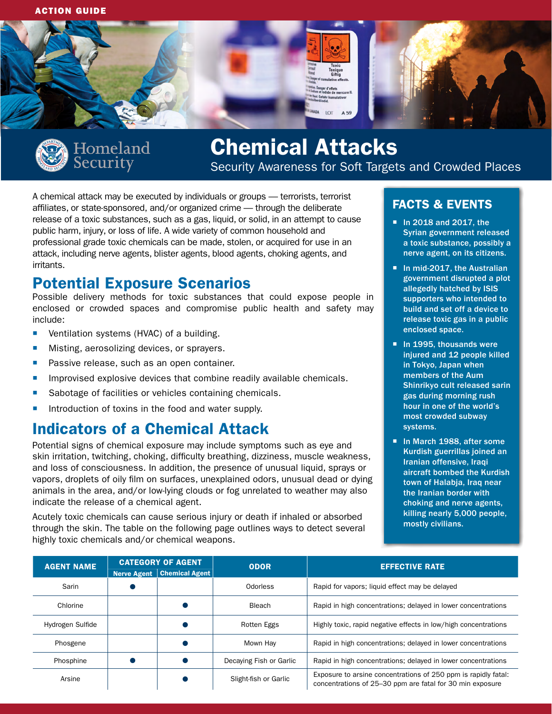



# Chemical Attacks

Security Awareness for Soft Targets and Crowded Places

A chemical attack may be executed by individuals or groups — terrorists, terrorist affiliates, or state-sponsored, and/or organized crime — through the deliberate release of a toxic substances, such as a gas, liquid, or solid, in an attempt to cause public harm, injury, or loss of life. A wide variety of common household and professional grade toxic chemicals can be made, stolen, or acquired for use in an attack, including nerve agents, blister agents, blood agents, choking agents, and irritants.

## Potential Exposure Scenarios

Possible delivery methods for toxic substances that could expose people in enclosed or crowded spaces and compromise public health and safety may include:

- **•** Ventilation systems (HVAC) of a building.
- **Misting, aerosolizing devices, or sprayers.**
- **Passive release, such as an open container.**
- **IMPROVISED EXPLOSIVE devices that combine readily available chemicals.**
- Sabotage of facilities or vehicles containing chemicals.
- Introduction of toxins in the food and water supply.

# Indicators of a Chemical Attack

Potential signs of chemical exposure may include symptoms such as eye and skin irritation, twitching, choking, difficulty breathing, dizziness, muscle weakness, and loss of consciousness. In addition, the presence of unusual liquid, sprays or vapors, droplets of oily film on surfaces, unexplained odors, unusual dead or dying animals in the area, and/or low-lying clouds or fog unrelated to weather may also indicate the release of a chemical agent.

Acutely toxic chemicals can cause serious injury or death if inhaled or absorbed through the skin. The table on the following page outlines ways to detect several highly toxic chemicals and/or chemical weapons.

## FACTS & EVENTS

- In 2018 and 2017, the Syrian government released a toxic substance, possibly a nerve agent, on its citizens.
- In mid-2017, the Australian government disrupted a plot allegedly hatched by ISIS supporters who intended to build and set off a device to release toxic gas in a public enclosed space.
- In 1995, thousands were injured and 12 people killed in Tokyo, Japan when members of the Aum Shinrikyo cult released sarin gas during morning rush hour in one of the world's most crowded subway systems.
- In March 1988, after some Kurdish guerrillas joined an Iranian offensive, Iraqi aircraft bombed the Kurdish town of Halabja, Iraq near the Iranian border with choking and nerve agents, killing nearly 5,000 people, mostly civilians.

| <b>AGENT NAME</b> | <b>CATEGORY OF AGENT</b> |                       | <b>ODOR</b>             | <b>EFFECTIVE RATE</b>                                                                                                       |
|-------------------|--------------------------|-----------------------|-------------------------|-----------------------------------------------------------------------------------------------------------------------------|
|                   | Nerve Agent              | <b>Chemical Agent</b> |                         |                                                                                                                             |
| Sarin             |                          |                       | Odorless                | Rapid for vapors; liquid effect may be delayed                                                                              |
| Chlorine          |                          |                       | Bleach                  | Rapid in high concentrations; delayed in lower concentrations                                                               |
| Hydrogen Sulfide  |                          |                       | Rotten Eggs             | Highly toxic, rapid negative effects in low/high concentrations                                                             |
| Phosgene          |                          |                       | Mown Hav                | Rapid in high concentrations; delayed in lower concentrations                                                               |
| Phosphine         |                          |                       | Decaying Fish or Garlic | Rapid in high concentrations; delayed in lower concentrations                                                               |
| Arsine            |                          |                       | Slight-fish or Garlic   | Exposure to arsine concentrations of 250 ppm is rapidly fatal:<br>concentrations of 25–30 ppm are fatal for 30 min exposure |